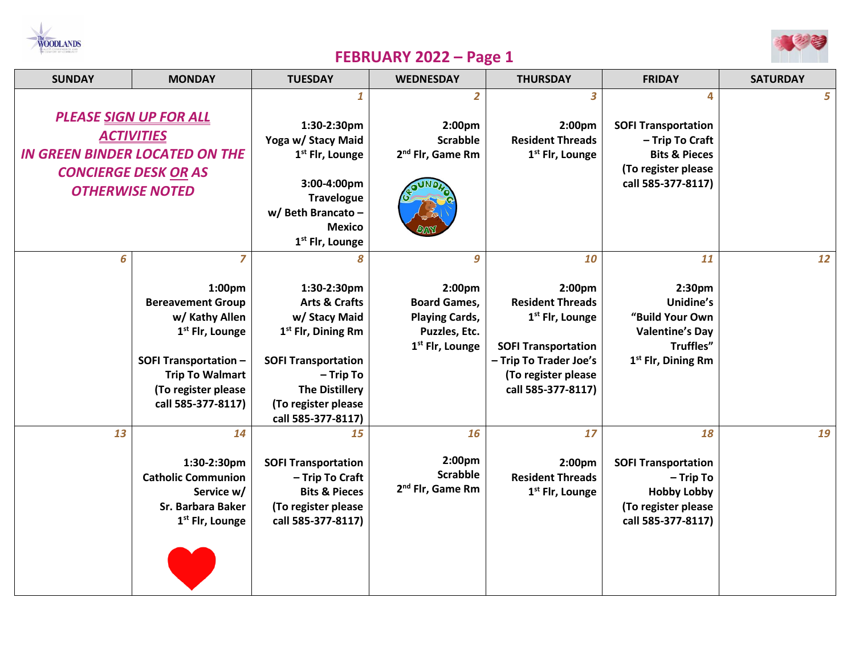



## **FEBRUARY 2022 – Page 1**

| <b>SUNDAY</b>                                                                                                                                        | <b>MONDAY</b>                                                                                                                                                                                   | <b>TUESDAY</b>                                                                                                                                                                                                   | <b>WEDNESDAY</b>                                                                                            | <b>THURSDAY</b>                                                                                                                                                             | <b>FRIDAY</b>                                                                                                               | <b>SATURDAY</b> |
|------------------------------------------------------------------------------------------------------------------------------------------------------|-------------------------------------------------------------------------------------------------------------------------------------------------------------------------------------------------|------------------------------------------------------------------------------------------------------------------------------------------------------------------------------------------------------------------|-------------------------------------------------------------------------------------------------------------|-----------------------------------------------------------------------------------------------------------------------------------------------------------------------------|-----------------------------------------------------------------------------------------------------------------------------|-----------------|
| <b>PLEASE SIGN UP FOR ALL</b><br><b>ACTIVITIES</b><br><b>IN GREEN BINDER LOCATED ON THE</b><br><b>CONCIERGE DESK OR AS</b><br><b>OTHERWISE NOTED</b> |                                                                                                                                                                                                 | 1<br>1:30-2:30pm<br>Yoga w/ Stacy Maid<br>1 <sup>st</sup> Flr, Lounge<br>3:00-4:00pm<br><b>Travelogue</b><br>w/ Beth Brancato -<br><b>Mexico</b><br>1 <sup>st</sup> Flr, Lounge                                  | 2<br>2:00pm<br><b>Scrabble</b><br>2 <sup>nd</sup> Flr, Game Rm                                              | 3<br>2:00pm<br><b>Resident Threads</b><br>1 <sup>st</sup> Flr, Lounge                                                                                                       | 4<br><b>SOFI Transportation</b><br>- Trip To Craft<br><b>Bits &amp; Pieces</b><br>(To register please<br>call 585-377-8117) | 5               |
| 6                                                                                                                                                    | 7<br>1:00pm<br><b>Bereavement Group</b><br>w/ Kathy Allen<br>1 <sup>st</sup> Flr, Lounge<br><b>SOFI Transportation -</b><br><b>Trip To Walmart</b><br>(To register please<br>call 585-377-8117) | 8<br>1:30-2:30pm<br><b>Arts &amp; Crafts</b><br>w/ Stacy Maid<br>1 <sup>st</sup> Flr, Dining Rm<br><b>SOFI Transportation</b><br>- Trip To<br><b>The Distillery</b><br>(To register please<br>call 585-377-8117) | 9<br>2:00pm<br><b>Board Games,</b><br><b>Playing Cards,</b><br>Puzzles, Etc.<br>1 <sup>st</sup> Flr, Lounge | 10<br>2:00pm<br><b>Resident Threads</b><br>1 <sup>st</sup> Flr, Lounge<br><b>SOFI Transportation</b><br>- Trip To Trader Joe's<br>(To register please<br>call 585-377-8117) | 11<br>2:30pm<br>Unidine's<br>"Build Your Own<br><b>Valentine's Day</b><br>Truffles"<br>1 <sup>st</sup> Flr, Dining Rm       | 12              |
| 13                                                                                                                                                   | 14<br>1:30-2:30pm<br><b>Catholic Communion</b><br>Service w/<br>Sr. Barbara Baker<br>1 <sup>st</sup> Flr, Lounge                                                                                | 15<br><b>SOFI Transportation</b><br>- Trip To Craft<br><b>Bits &amp; Pieces</b><br>(To register please<br>call 585-377-8117)                                                                                     | 16<br>2:00pm<br><b>Scrabble</b><br>2 <sup>nd</sup> Flr, Game Rm                                             | 17<br>2:00pm<br><b>Resident Threads</b><br>1 <sup>st</sup> Flr, Lounge                                                                                                      | 18<br><b>SOFI Transportation</b><br>- Trip To<br><b>Hobby Lobby</b><br>(To register please<br>call 585-377-8117)            | 19              |